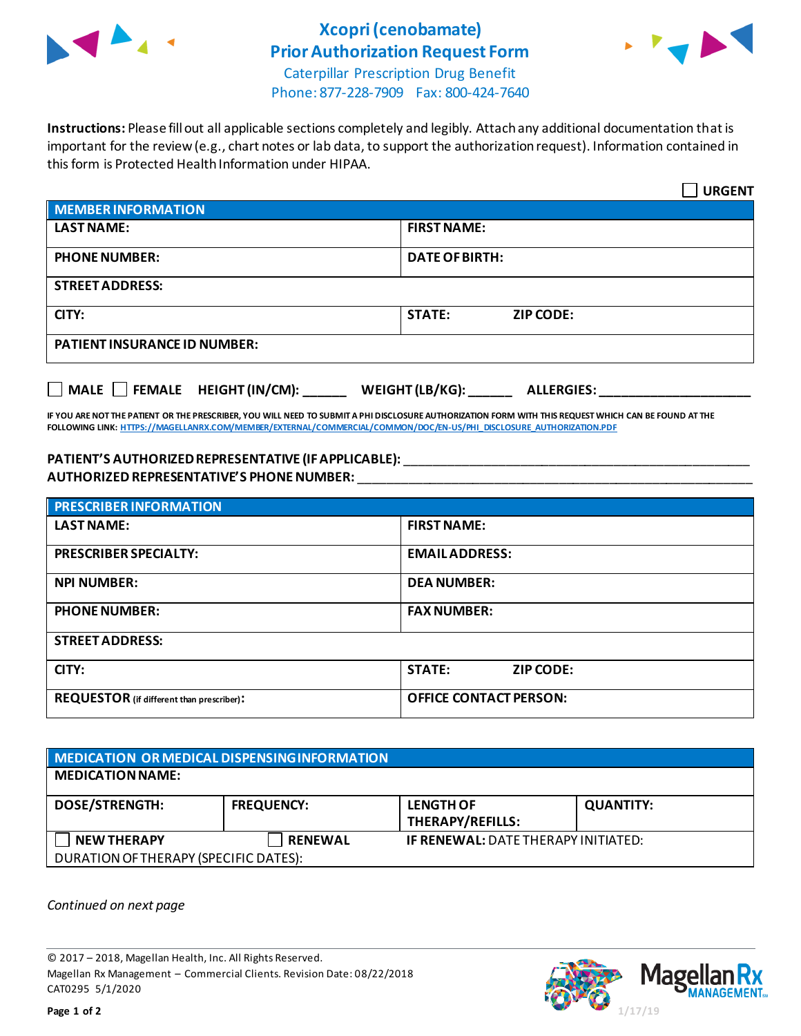

## **Xcopri(cenobamate) Prior Authorization Request Form**



Caterpillar Prescription Drug Benefit Phone: 877-228-7909 Fax: 800-424-7640

**Instructions:** Please fill out all applicable sections completely and legibly. Attach any additional documentation that is important for the review (e.g., chart notes or lab data, to support the authorization request). Information contained in this form is Protected Health Information under HIPAA.

|                                                                                   | <b>URGENT</b>                     |  |
|-----------------------------------------------------------------------------------|-----------------------------------|--|
| <b>MEMBER INFORMATION</b>                                                         |                                   |  |
| <b>LAST NAME:</b>                                                                 | <b>FIRST NAME:</b>                |  |
| <b>PHONE NUMBER:</b>                                                              | <b>DATE OF BIRTH:</b>             |  |
| <b>STREET ADDRESS:</b>                                                            |                                   |  |
| CITY:                                                                             | <b>STATE:</b><br><b>ZIP CODE:</b> |  |
| <b>PATIENT INSURANCE ID NUMBER:</b>                                               |                                   |  |
| $\Box$ MALE $\Box$ FEMALE HEIGHT (IN/CM):<br>WEIGHT (LB/KG):<br><b>ALLERGIES:</b> |                                   |  |

**IF YOU ARE NOT THE PATIENT OR THE PRESCRIBER, YOU WILL NEED TO SUBMIT A PHI DISCLOSURE AUTHORIZATION FORM WITH THIS REQUEST WHICH CAN BE FOUND AT THE FOLLOWING LINK[: HTTPS://MAGELLANRX.COM/MEMBER/EXTERNAL/COMMERCIAL/COMMON/DOC/EN-US/PHI\\_DISCLOSURE\\_AUTHORIZATION.PDF](https://magellanrx.com/member/external/commercial/common/doc/en-us/PHI_Disclosure_Authorization.pdf)**

## **PATIENT'S AUTHORIZEDREPRESENTATIVE (IF APPLICABLE):** \_\_\_\_\_\_\_\_\_\_\_\_\_\_\_\_\_\_\_\_\_\_\_\_\_\_\_\_\_\_\_\_\_\_\_\_\_\_\_\_\_\_\_\_\_\_\_\_ **AUTHORIZED REPRESENTATIVE'S PHONE NUMBER:** \_\_\_\_\_\_\_\_\_\_\_\_\_\_\_\_\_\_\_\_\_\_\_\_\_\_\_\_\_\_\_\_\_\_\_\_\_\_\_\_\_\_\_\_\_\_\_\_\_\_\_\_\_\_\_

| <b>PRESCRIBER INFORMATION</b>             |                                   |  |  |
|-------------------------------------------|-----------------------------------|--|--|
| <b>LAST NAME:</b>                         | <b>FIRST NAME:</b>                |  |  |
| <b>PRESCRIBER SPECIALTY:</b>              | <b>EMAIL ADDRESS:</b>             |  |  |
| <b>NPI NUMBER:</b>                        | <b>DEA NUMBER:</b>                |  |  |
| <b>PHONE NUMBER:</b>                      | <b>FAX NUMBER:</b>                |  |  |
| <b>STREET ADDRESS:</b>                    |                                   |  |  |
| CITY:                                     | <b>STATE:</b><br><b>ZIP CODE:</b> |  |  |
| REQUESTOR (if different than prescriber): | <b>OFFICE CONTACT PERSON:</b>     |  |  |

## **MEDICATION OR MEDICAL DISPENSING INFORMATION MEDICATION NAME: DOSE/STRENGTH: FREQUENCY: LENGTH OF THERAPY/REFILLS: QUANTITY: NEW THERAPY RENEWAL IF RENEWAL:** DATE THERAPY INITIATED: DURATION OF THERAPY (SPECIFIC DATES):

*Continued on next page*

© 2017 – 2018, Magellan Health, Inc. All Rights Reserved. Magellan Rx Management – Commercial Clients. Revision Date: 08/22/2018 CAT0295 5/1/2020